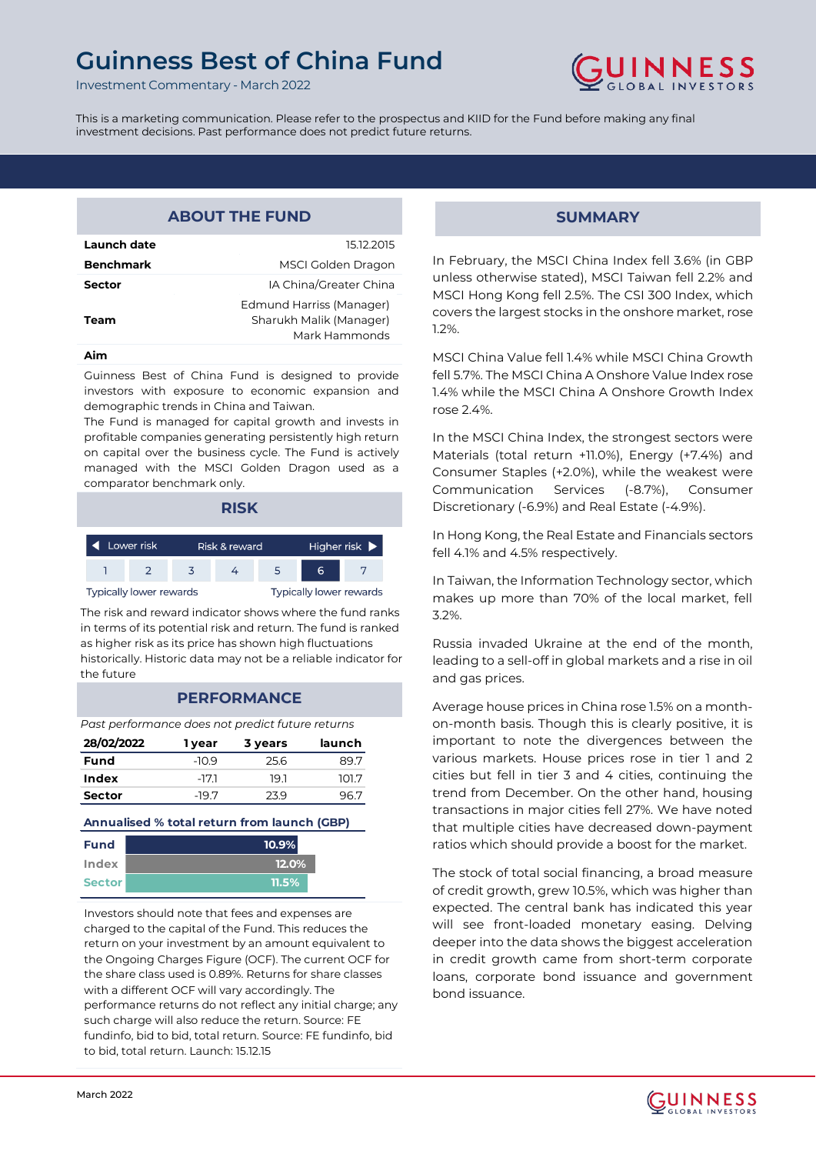Investment Commentary - March 2022



This is a marketing communication. Please refer to the prospectus and KIID for the Fund before making any final investment decisions. Past performance does not predict future returns.

# **ABOUT THE FUND**

| Launch date      | 15.12.2015                                                           |
|------------------|----------------------------------------------------------------------|
| <b>Benchmark</b> | MSCI Golden Dragon                                                   |
| <b>Sector</b>    | IA China/Greater China                                               |
| Team             | Edmund Harriss (Manager)<br>Sharukh Malik (Manager)<br>Mark Hammonds |
|                  |                                                                      |

#### **Aim**

Guinness Best of China Fund is designed to provide investors with exposure to economic expansion and demographic trends in China and Taiwan.

The Fund is managed for capital growth and invests in profitable companies generating persistently high return on capital over the business cycle. The Fund is actively managed with the MSCI Golden Dragon used as a comparator benchmark only.



The risk and reward indicator shows where the fund ranks in terms of its potential risk and return. The fund is ranked as higher risk as its price has shown high fluctuations historically. Historic data may not be a reliable indicator for the future

## **PERFORMANCE**

*Past performance does not predict future returns*

| 28/02/2022    | 1 year  | 3 years | launch |
|---------------|---------|---------|--------|
| Fund          | $-10.9$ | 25.6    | 89.7   |
| Index         | -17.1   | 19.1    | 101.7  |
| <b>Sector</b> | -197    | 239     | 96.7   |

## **Annualised % total return from launch (GBP)**

| <b>Fund</b>   | $10.9\%$ |
|---------------|----------|
| Index         | 12.0%    |
| <b>Sector</b> | $11.5\%$ |

Investors should note that fees and expenses are charged to the capital of the Fund. This reduces the return on your investment by an amount equivalent to the Ongoing Charges Figure (OCF). The current OCF for the share class used is 0.89%. Returns for share classes with a different OCF will vary accordingly. The performance returns do not reflect any initial charge; any such charge will also reduce the return. Source: FE fundinfo, bid to bid, total return. Source: FE fundinfo, bid to bid, total return. Launch: 15.12.15

## **SUMMARY**

In February, the MSCI China Index fell 3.6% (in GBP unless otherwise stated), MSCI Taiwan fell 2.2% and MSCI Hong Kong fell 2.5%. The CSI 300 Index, which covers the largest stocks in the onshore market, rose 1.2%.

MSCI China Value fell 1.4% while MSCI China Growth fell 5.7%. The MSCI China A Onshore Value Index rose 1.4% while the MSCI China A Onshore Growth Index rose 2.4%.

In the MSCI China Index, the strongest sectors were Materials (total return +11.0%), Energy (+7.4%) and Consumer Staples (+2.0%), while the weakest were Communication Services (-8.7%), Consumer Discretionary (-6.9%) and Real Estate (-4.9%).

In Hong Kong, the Real Estate and Financials sectors fell 4.1% and 4.5% respectively.

In Taiwan, the Information Technology sector, which makes up more than 70% of the local market, fell 3.2%.

Russia invaded Ukraine at the end of the month, leading to a sell-off in global markets and a rise in oil and gas prices.

Average house prices in China rose 1.5% on a monthon-month basis. Though this is clearly positive, it is important to note the divergences between the various markets. House prices rose in tier 1 and 2 cities but fell in tier 3 and 4 cities, continuing the trend from December. On the other hand, housing transactions in major cities fell 27%. We have noted that multiple cities have decreased down-payment ratios which should provide a boost for the market.

The stock of total social financing, a broad measure of credit growth, grew 10.5%, which was higher than expected. The central bank has indicated this year will see front-loaded monetary easing. Delving deeper into the data shows the biggest acceleration in credit growth came from short-term corporate loans, corporate bond issuance and government bond issuance.

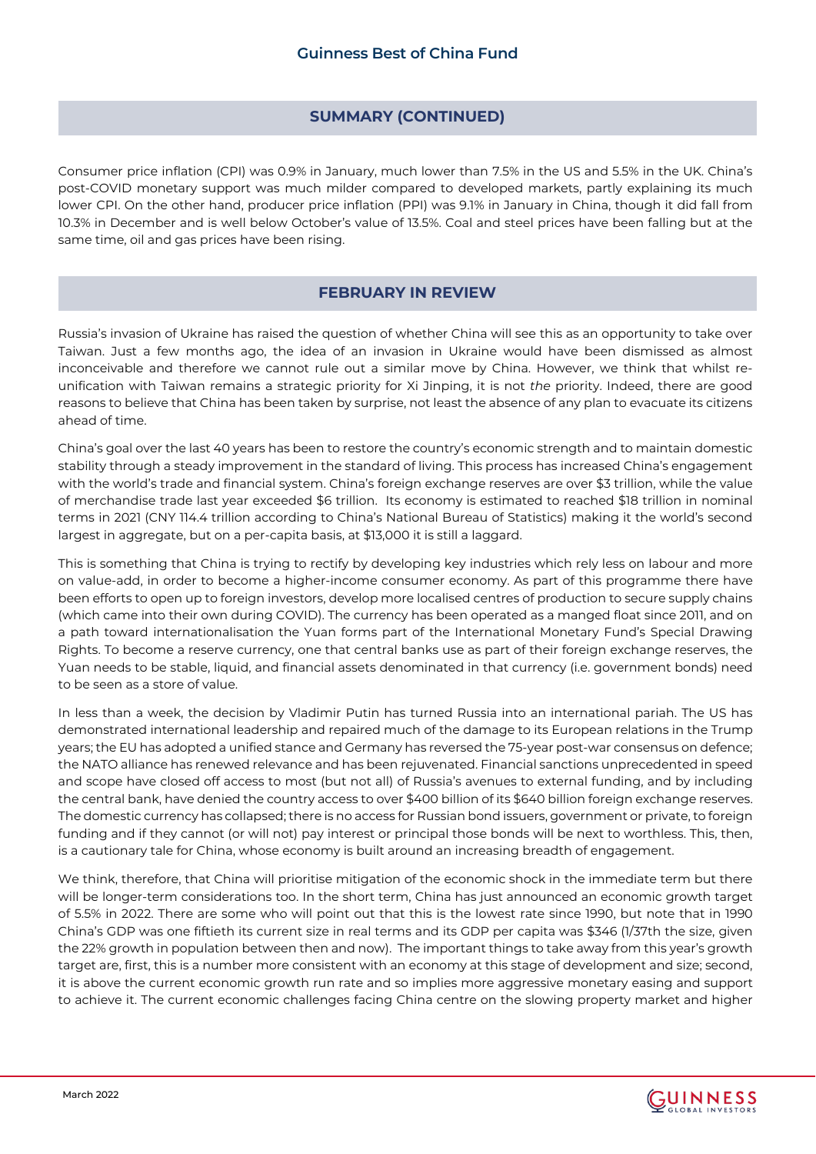# **SUMMARY (CONTINUED)**

Consumer price inflation (CPI) was 0.9% in January, much lower than 7.5% in the US and 5.5% in the UK. China's post-COVID monetary support was much milder compared to developed markets, partly explaining its much lower CPI. On the other hand, producer price inflation (PPI) was 9.1% in January in China, though it did fall from 10.3% in December and is well below October's value of 13.5%. Coal and steel prices have been falling but at the same time, oil and gas prices have been rising.

## **FEBRUARY IN REVIEW**

Russia's invasion of Ukraine has raised the question of whether China will see this as an opportunity to take over Taiwan. Just a few months ago, the idea of an invasion in Ukraine would have been dismissed as almost inconceivable and therefore we cannot rule out a similar move by China. However, we think that whilst reunification with Taiwan remains a strategic priority for Xi Jinping, it is not *the* priority. Indeed, there are good reasons to believe that China has been taken by surprise, not least the absence of any plan to evacuate its citizens ahead of time.

China's goal over the last 40 years has been to restore the country's economic strength and to maintain domestic stability through a steady improvement in the standard of living. This process has increased China's engagement with the world's trade and financial system. China's foreign exchange reserves are over \$3 trillion, while the value of merchandise trade last year exceeded \$6 trillion. Its economy is estimated to reached \$18 trillion in nominal terms in 2021 (CNY 114.4 trillion according to China's National Bureau of Statistics) making it the world's second largest in aggregate, but on a per-capita basis, at \$13,000 it is still a laggard.

This is something that China is trying to rectify by developing key industries which rely less on labour and more on value-add, in order to become a higher-income consumer economy. As part of this programme there have been efforts to open up to foreign investors, develop more localised centres of production to secure supply chains (which came into their own during COVID). The currency has been operated as a manged float since 2011, and on a path toward internationalisation the Yuan forms part of the International Monetary Fund's Special Drawing Rights. To become a reserve currency, one that central banks use as part of their foreign exchange reserves, the Yuan needs to be stable, liquid, and financial assets denominated in that currency (i.e. government bonds) need to be seen as a store of value.

In less than a week, the decision by Vladimir Putin has turned Russia into an international pariah. The US has demonstrated international leadership and repaired much of the damage to its European relations in the Trump years; the EU has adopted a unified stance and Germany has reversed the 75-year post-war consensus on defence; the NATO alliance has renewed relevance and has been rejuvenated. Financial sanctions unprecedented in speed and scope have closed off access to most (but not all) of Russia's avenues to external funding, and by including the central bank, have denied the country access to over \$400 billion of its \$640 billion foreign exchange reserves. The domestic currency has collapsed; there is no access for Russian bond issuers, government or private, to foreign funding and if they cannot (or will not) pay interest or principal those bonds will be next to worthless. This, then, is a cautionary tale for China, whose economy is built around an increasing breadth of engagement.

We think, therefore, that China will prioritise mitigation of the economic shock in the immediate term but there will be longer-term considerations too. In the short term, China has just announced an economic growth target of 5.5% in 2022. There are some who will point out that this is the lowest rate since 1990, but note that in 1990 China's GDP was one fiftieth its current size in real terms and its GDP per capita was \$346 (1/37th the size, given the 22% growth in population between then and now). The important things to take away from this year's growth target are, first, this is a number more consistent with an economy at this stage of development and size; second, it is above the current economic growth run rate and so implies more aggressive monetary easing and support to achieve it. The current economic challenges facing China centre on the slowing property market and higher

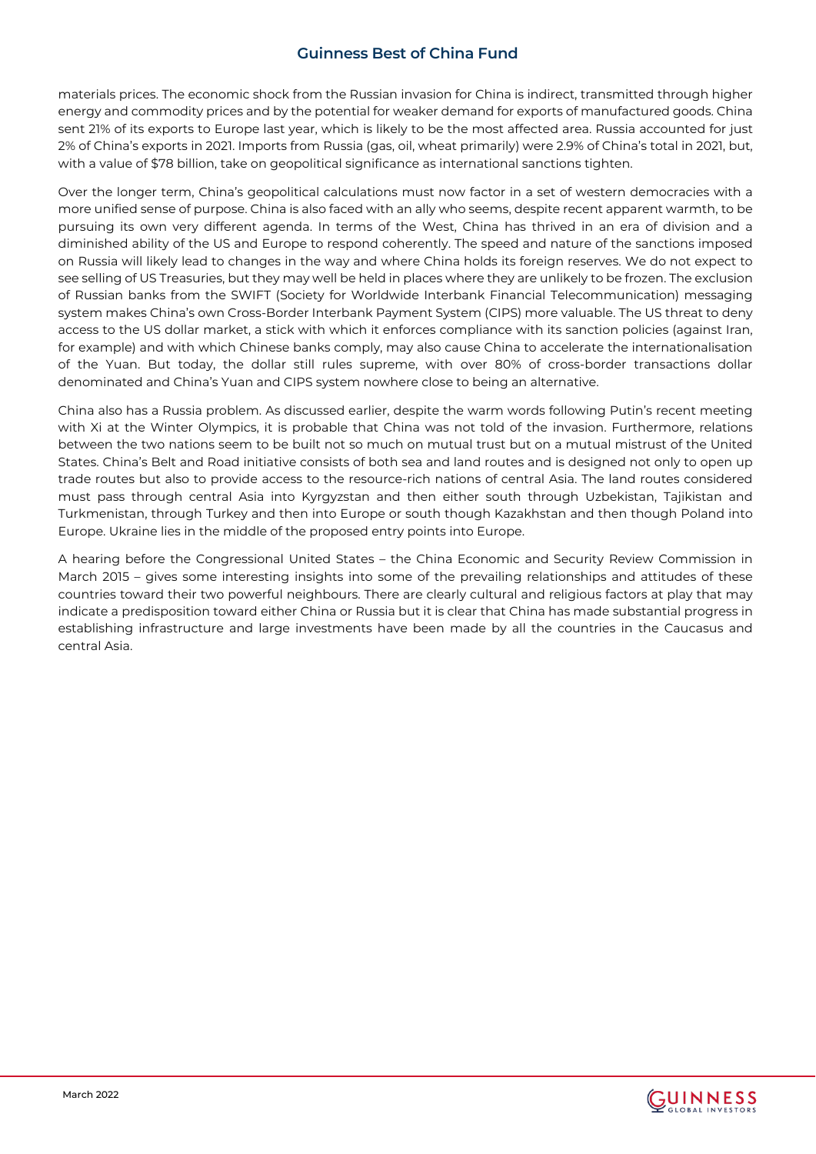materials prices. The economic shock from the Russian invasion for China is indirect, transmitted through higher energy and commodity prices and by the potential for weaker demand for exports of manufactured goods. China sent 21% of its exports to Europe last year, which is likely to be the most affected area. Russia accounted for just 2% of China's exports in 2021. Imports from Russia (gas, oil, wheat primarily) were 2.9% of China's total in 2021, but, with a value of \$78 billion, take on geopolitical significance as international sanctions tighten.

Over the longer term, China's geopolitical calculations must now factor in a set of western democracies with a more unified sense of purpose. China is also faced with an ally who seems, despite recent apparent warmth, to be pursuing its own very different agenda. In terms of the West, China has thrived in an era of division and a diminished ability of the US and Europe to respond coherently. The speed and nature of the sanctions imposed on Russia will likely lead to changes in the way and where China holds its foreign reserves. We do not expect to see selling of US Treasuries, but they may well be held in places where they are unlikely to be frozen. The exclusion of Russian banks from the SWIFT (Society for Worldwide Interbank Financial Telecommunication) messaging system makes China's own Cross-Border Interbank Payment System (CIPS) more valuable. The US threat to deny access to the US dollar market, a stick with which it enforces compliance with its sanction policies (against Iran, for example) and with which Chinese banks comply, may also cause China to accelerate the internationalisation of the Yuan. But today, the dollar still rules supreme, with over 80% of cross-border transactions dollar denominated and China's Yuan and CIPS system nowhere close to being an alternative.

China also has a Russia problem. As discussed earlier, despite the warm words following Putin's recent meeting with Xi at the Winter Olympics, it is probable that China was not told of the invasion. Furthermore, relations between the two nations seem to be built not so much on mutual trust but on a mutual mistrust of the United States. China's Belt and Road initiative consists of both sea and land routes and is designed not only to open up trade routes but also to provide access to the resource-rich nations of central Asia. The land routes considered must pass through central Asia into Kyrgyzstan and then either south through Uzbekistan, Tajikistan and Turkmenistan, through Turkey and then into Europe or south though Kazakhstan and then though Poland into Europe. Ukraine lies in the middle of the proposed entry points into Europe.

A hearing before the Congressional United States – the China Economic and Security Review Commission in March 2015 – gives some interesting insights into some of the prevailing relationships and attitudes of these countries toward their two powerful neighbours. There are clearly cultural and religious factors at play that may indicate a predisposition toward either China or Russia but it is clear that China has made substantial progress in establishing infrastructure and large investments have been made by all the countries in the Caucasus and central Asia.

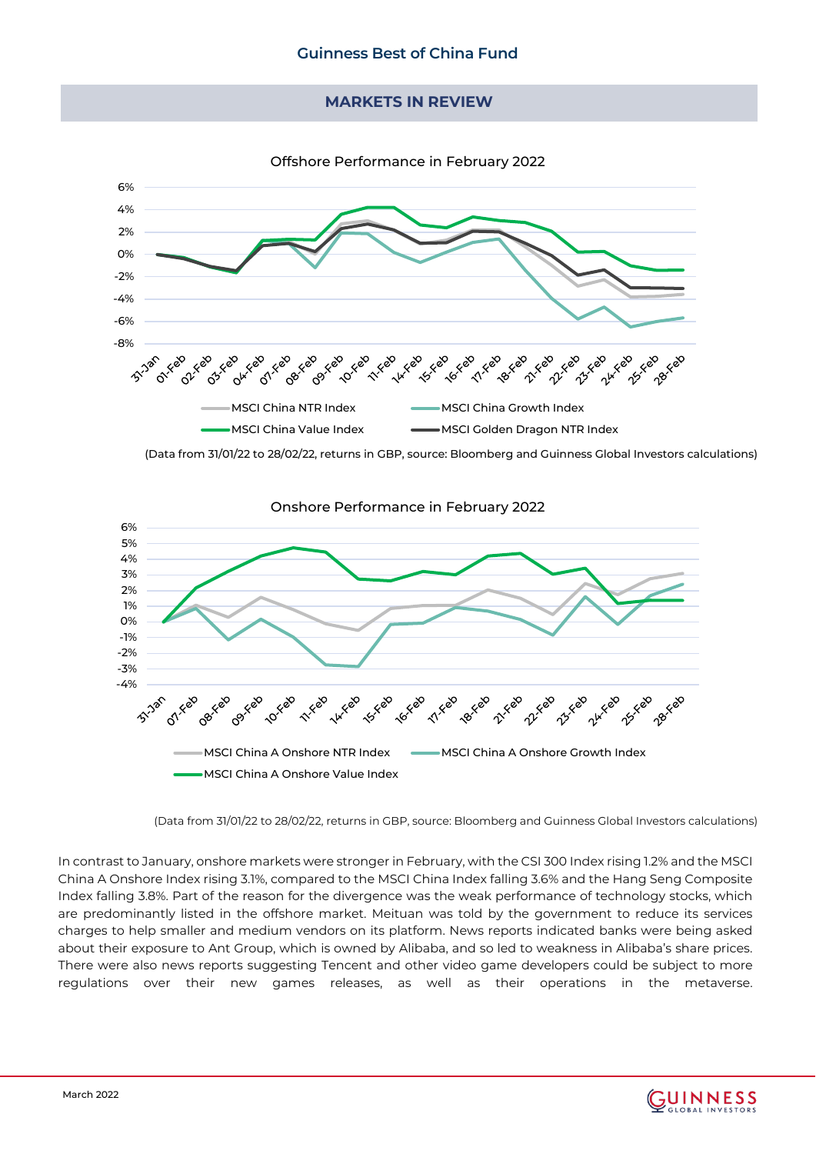## **MARKETS IN REVIEW**



(Data from 31/01/22 to 28/02/22, returns in GBP, source: Bloomberg and Guinness Global Investors calculations)



(Data from 31/01/22 to 28/02/22, returns in GBP, source: Bloomberg and Guinness Global Investors calculations)

In contrast to January, onshore markets were stronger in February, with the CSI 300 Index rising 1.2% and the MSCI China A Onshore Index rising 3.1%, compared to the MSCI China Index falling 3.6% and the Hang Seng Composite Index falling 3.8%. Part of the reason for the divergence was the weak performance of technology stocks, which are predominantly listed in the offshore market. Meituan was told by the government to reduce its services charges to help smaller and medium vendors on its platform. News reports indicated banks were being asked about their exposure to Ant Group, which is owned by Alibaba, and so led to weakness in Alibaba's share prices. There were also news reports suggesting Tencent and other video game developers could be subject to more regulations over their new games releases, as well as their operations in the metaverse.

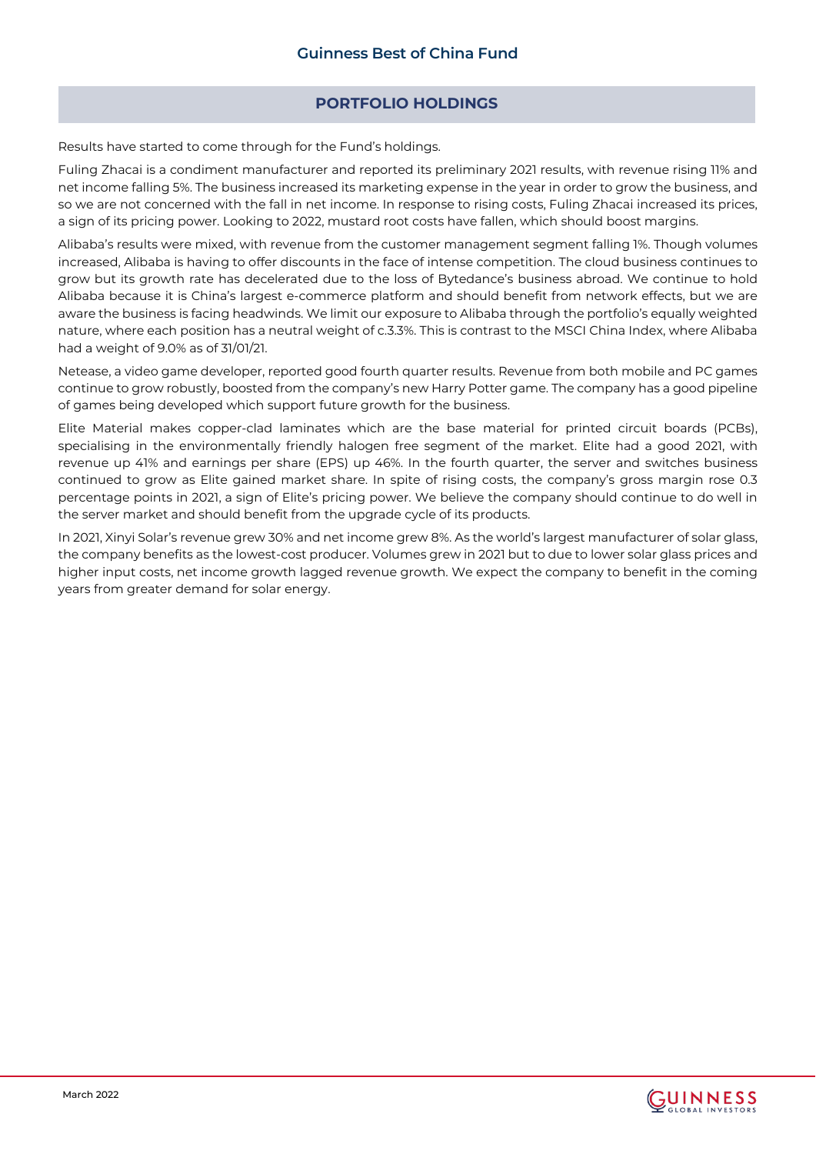# **PORTFOLIO HOLDINGS**

Results have started to come through for the Fund's holdings.

Fuling Zhacai is a condiment manufacturer and reported its preliminary 2021 results, with revenue rising 11% and net income falling 5%. The business increased its marketing expense in the year in order to grow the business, and so we are not concerned with the fall in net income. In response to rising costs, Fuling Zhacai increased its prices, a sign of its pricing power. Looking to 2022, mustard root costs have fallen, which should boost margins.

Alibaba's results were mixed, with revenue from the customer management segment falling 1%. Though volumes increased, Alibaba is having to offer discounts in the face of intense competition. The cloud business continues to grow but its growth rate has decelerated due to the loss of Bytedance's business abroad. We continue to hold Alibaba because it is China's largest e-commerce platform and should benefit from network effects, but we are aware the business is facing headwinds. We limit our exposure to Alibaba through the portfolio's equally weighted nature, where each position has a neutral weight of c.3.3%. This is contrast to the MSCI China Index, where Alibaba had a weight of 9.0% as of 31/01/21.

Netease, a video game developer, reported good fourth quarter results. Revenue from both mobile and PC games continue to grow robustly, boosted from the company's new Harry Potter game. The company has a good pipeline of games being developed which support future growth for the business.

Elite Material makes copper-clad laminates which are the base material for printed circuit boards (PCBs), specialising in the environmentally friendly halogen free segment of the market. Elite had a good 2021, with revenue up 41% and earnings per share (EPS) up 46%. In the fourth quarter, the server and switches business continued to grow as Elite gained market share. In spite of rising costs, the company's gross margin rose 0.3 percentage points in 2021, a sign of Elite's pricing power. We believe the company should continue to do well in the server market and should benefit from the upgrade cycle of its products.

In 2021, Xinyi Solar's revenue grew 30% and net income grew 8%. As the world's largest manufacturer of solar glass, the company benefits as the lowest-cost producer. Volumes grew in 2021 but to due to lower solar glass prices and higher input costs, net income growth lagged revenue growth. We expect the company to benefit in the coming years from greater demand for solar energy.

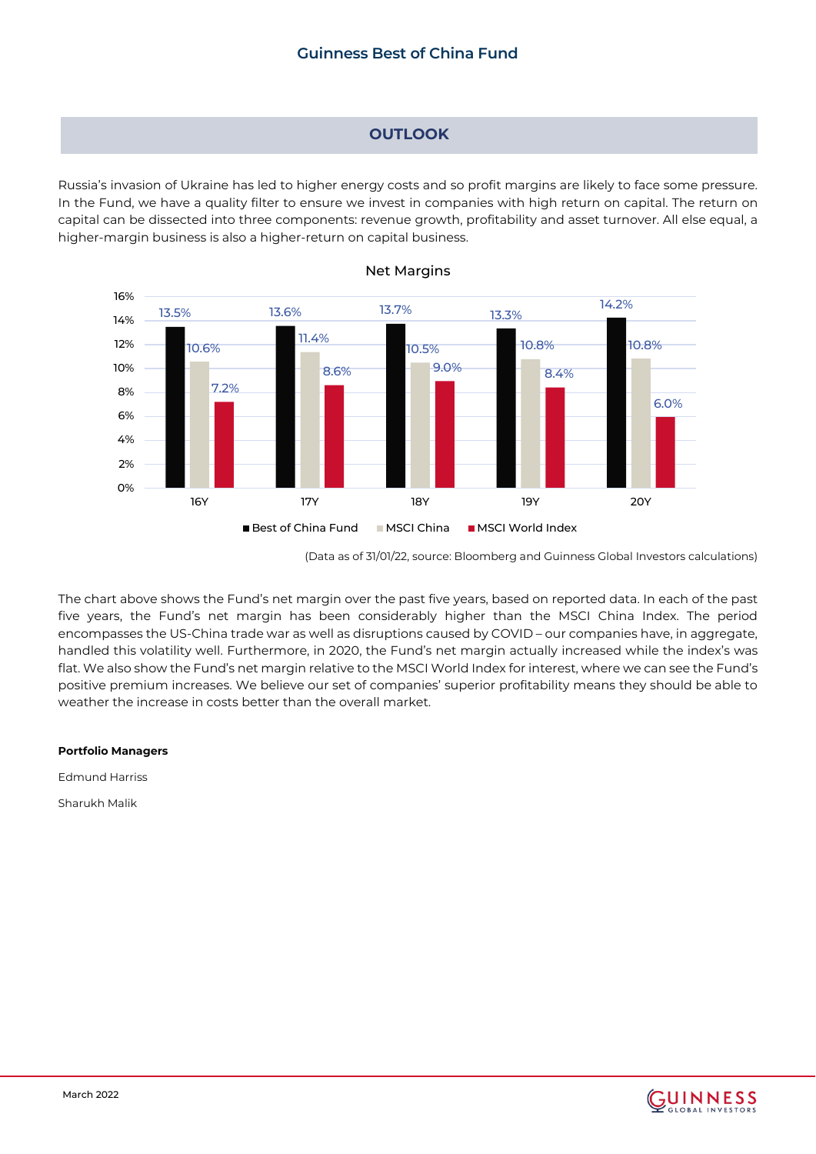# **OUTLOOK**

Russia's invasion of Ukraine has led to higher energy costs and so profit margins are likely to face some pressure. In the Fund, we have a quality filter to ensure we invest in companies with high return on capital. The return on capital can be dissected into three components: revenue growth, profitability and asset turnover. All else equal, a higher-margin business is also a higher-return on capital business.



## Net Margins

(Data as of 31/01/22, source: Bloomberg and Guinness Global Investors calculations)

The chart above shows the Fund's net margin over the past five years, based on reported data. In each of the past five years, the Fund's net margin has been considerably higher than the MSCI China Index. The period encompasses the US-China trade war as well as disruptions caused by COVID – our companies have, in aggregate, handled this volatility well. Furthermore, in 2020, the Fund's net margin actually increased while the index's was flat. We also show the Fund's net margin relative to the MSCI World Index for interest, where we can see the Fund's positive premium increases. We believe our set of companies' superior profitability means they should be able to weather the increase in costs better than the overall market.

## **Portfolio Managers**

Edmund Harriss

Sharukh Malik

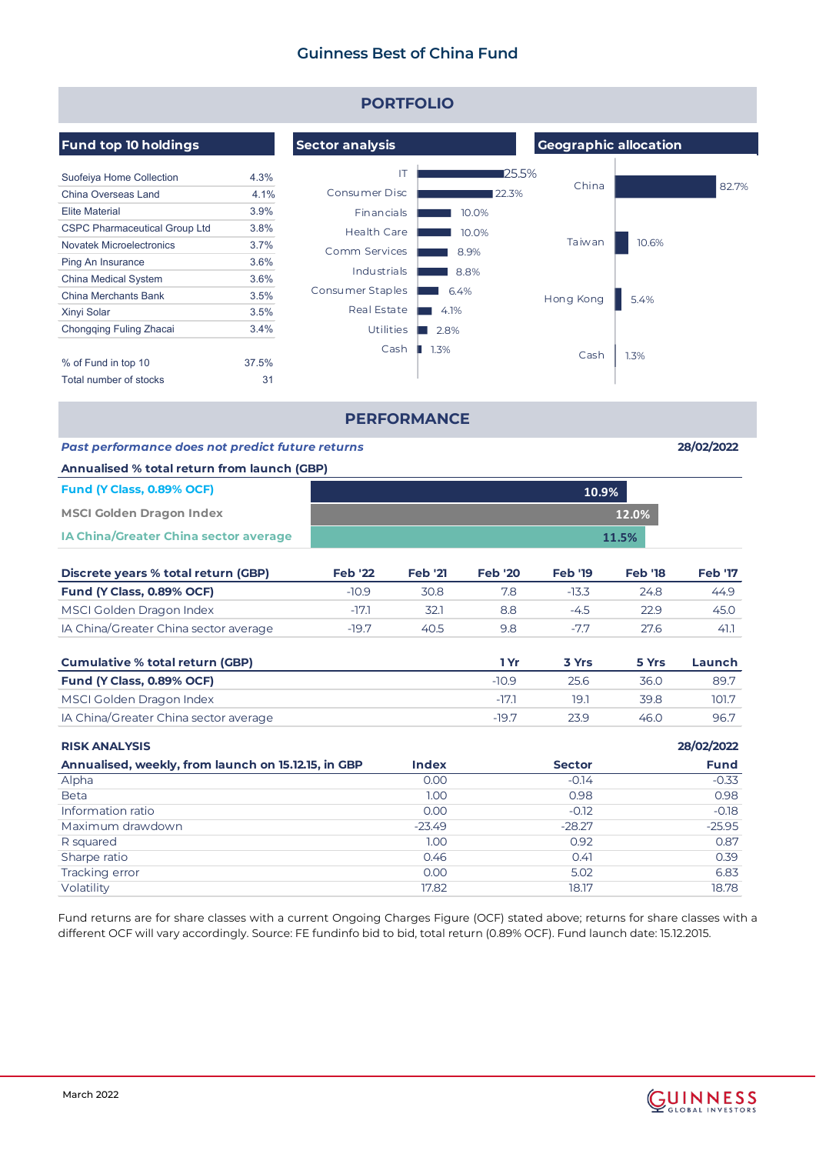| <b>PORTFOLIO</b>                                    |       |                        |                     |                |                              |                |                |  |  |  |  |
|-----------------------------------------------------|-------|------------------------|---------------------|----------------|------------------------------|----------------|----------------|--|--|--|--|
| <b>Fund top 10 holdings</b>                         |       | <b>Sector analysis</b> |                     |                | <b>Geographic allocation</b> |                |                |  |  |  |  |
| Suofeiya Home Collection                            | 4.3%  |                        | IT                  | ■25.5%         |                              |                |                |  |  |  |  |
| China Overseas Land                                 | 4.1%  | Consumer Disc          |                     | 122.3%         | China                        |                | 82.7%          |  |  |  |  |
| <b>Elite Material</b>                               | 3.9%  | Financials             |                     | 10.0%          |                              |                |                |  |  |  |  |
| <b>CSPC Pharmaceutical Group Ltd</b>                | 3.8%  | <b>Health Care</b>     |                     | 10.0%          |                              |                |                |  |  |  |  |
| <b>Novatek Microelectronics</b>                     | 3.7%  | Comm Services          |                     |                | Taiwan                       | 10.6%          |                |  |  |  |  |
| Ping An Insurance                                   | 3.6%  |                        |                     | 8.9%           |                              |                |                |  |  |  |  |
| China Medical System                                | 3.6%  | Industrials            |                     | 8.8%           |                              |                |                |  |  |  |  |
| <b>China Merchants Bank</b>                         | 3.5%  | Consumer Staples       |                     | 6.4%           | Hong Kong                    | 5.4%           |                |  |  |  |  |
| Xinyi Solar                                         | 3.5%  | Real Estate            | $\blacksquare$ 4.1% |                |                              |                |                |  |  |  |  |
| Chongqing Fuling Zhacai                             | 3.4%  | <b>Utilities</b>       | $\blacksquare$ 2.8% |                |                              |                |                |  |  |  |  |
|                                                     |       | Cash                   | $1.3\%$             |                |                              |                |                |  |  |  |  |
| % of Fund in top 10                                 | 37.5% |                        |                     |                | Cash                         | 1.3%           |                |  |  |  |  |
| Total number of stocks                              | 31    |                        |                     |                |                              |                |                |  |  |  |  |
| <b>PERFORMANCE</b>                                  |       |                        |                     |                |                              |                |                |  |  |  |  |
| Past performance does not predict future returns    |       |                        |                     |                |                              |                | 28/02/2022     |  |  |  |  |
| Annualised % total return from launch (GBP)         |       |                        |                     |                |                              |                |                |  |  |  |  |
| Fund (Y Class, 0.89% OCF)                           |       |                        |                     |                | 10.9%                        |                |                |  |  |  |  |
| <b>MSCI Golden Dragon Index</b>                     | 12.0% |                        |                     |                |                              |                |                |  |  |  |  |
| IA China/Greater China sector average               |       |                        |                     |                |                              | 11.5%          |                |  |  |  |  |
| Discrete years % total return (GBP)                 |       | <b>Feb '22</b>         | <b>Feb '21</b>      | <b>Feb '20</b> | <b>Feb '19</b>               | <b>Feb '18</b> | <b>Feb '17</b> |  |  |  |  |
| Fund (Y Class, 0.89% OCF)                           |       | $-10.9$                | 30.8                | 7.8            | $-13.3$                      | 24.8           | 44.9           |  |  |  |  |
| MSCI Golden Dragon Index                            |       | $-17.1$                | 32.1                | 8.8            | $-4.5$                       | 22.9           | 45.0           |  |  |  |  |
| IA China/Greater China sector average               |       | $-19.7$                | 40.5                | 9.8            | $-7.7$                       | 27.6           | 41.1           |  |  |  |  |
| <b>Cumulative % total return (GBP)</b>              |       |                        |                     | 1 Yr           | 3 Yrs                        | 5 Yrs          | Launch         |  |  |  |  |
| Fund (Y Class, 0.89% OCF)                           |       |                        |                     | $-10.9$        | 25.6                         | 36.0           | 89.7           |  |  |  |  |
| MSCI Golden Dragon Index                            |       |                        |                     | -17.1          | 19.1                         | 39.8           | 101.7          |  |  |  |  |
| IA China/Greater China sector average               |       |                        |                     | $-19.7$        | 23.9                         | 46.0           | 96.7           |  |  |  |  |
| <b>RISK ANALYSIS</b>                                |       |                        |                     |                |                              |                | 28/02/2022     |  |  |  |  |
| Annualised, weekly, from launch on 15.12.15, in GBP |       |                        | <b>Index</b>        |                | <b>Sector</b>                |                | <b>Fund</b>    |  |  |  |  |
| Alpha                                               |       |                        | 0.00                |                | $-0.14$                      |                | $-0.33$        |  |  |  |  |
| <b>Beta</b>                                         |       |                        | 1.00                |                | 0.98                         |                | 0.98           |  |  |  |  |
| Information ratio                                   |       |                        | 0.00                |                | $-0.12$                      |                | $-0.18$        |  |  |  |  |
| Maximum drawdown                                    |       |                        | $-23.49$            |                | $-28.27$                     |                | $-25.95$       |  |  |  |  |
| R squared                                           |       |                        | 1.00                |                | 0.92                         |                | 0.87           |  |  |  |  |
| Sharpe ratio<br>Tracking error                      |       |                        | 0.46<br>0.00        |                | 0.41<br>5.02                 |                | 0.39<br>6.83   |  |  |  |  |
| Volatility                                          |       |                        | 17.82               |                | 18.17                        |                | 18.78          |  |  |  |  |
|                                                     |       |                        |                     |                |                              |                |                |  |  |  |  |

Fund returns are for share classes with a current Ongoing Charges Figure (OCF) stated above; returns for share classes with a different OCF will vary accordingly. Source: FE fundinfo bid to bid, total return (0.89% OCF). Fund launch date: 15.12.2015.